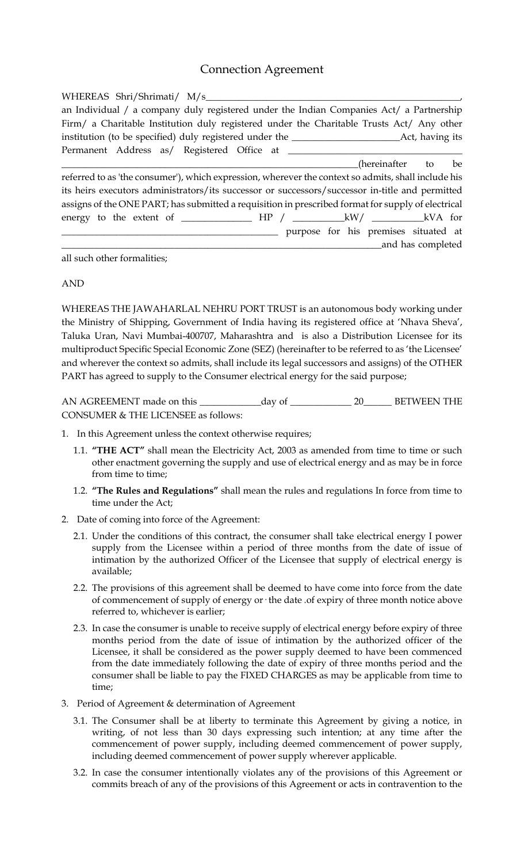## Connection Agreement

| WHEREAS Shri/Shrimati/ M/s                                                                          |
|-----------------------------------------------------------------------------------------------------|
| an Individual / a company duly registered under the Indian Companies Act/ a Partnership             |
| Firm/ a Charitable Institution duly registered under the Charitable Trusts Act/ Any other           |
|                                                                                                     |
| Permanent Address as/ Registered Office at ______                                                   |
| hereinafter to be)                                                                                  |
| referred to as 'the consumer'), which expression, wherever the context so admits, shall include his |
| its heirs executors administrators/its successor or successors/successor in-title and permitted     |
| assigns of the ONE PART; has submitted a requisition in prescribed format for supply of electrical  |
|                                                                                                     |
| purpose for his premises situated at                                                                |
| and has completed                                                                                   |

all such other formalities;

## AND

WHEREAS THE JAWAHARLAL NEHRU PORT TRUST is an autonomous body working under the Ministry of Shipping, Government of India having its registered office at 'Nhava Sheva', Taluka Uran, Navi Mumbai-400707, Maharashtra and is also a Distribution Licensee for its multiproduct Specific Special Economic Zone (SEZ) (hereinafter to be referred to as 'the Licensee' and wherever the context so admits, shall include its legal successors and assigns) of the OTHER PART has agreed to supply to the Consumer electrical energy for the said purpose;

AN AGREEMENT made on this \_\_\_\_\_\_\_\_\_\_\_\_\_day of \_\_\_\_\_\_\_\_\_\_\_\_\_ 20\_\_\_\_\_\_ BETWEEN THE CONSUMER & THE LICENSEE as follows:

- 1. In this Agreement unless the context otherwise requires;
	- 1.1. **"THE ACT"** shall mean the Electricity Act, 2003 as amended from time to time or such other enactment governing the supply and use of electrical energy and as may be in force from time to time;
	- 1.2. **"The Rules and Regulations"** shall mean the rules and regulations In force from time to time under the Act;
- 2. Date of coming into force of the Agreement:
	- 2.1. Under the conditions of this contract, the consumer shall take electrical energy I power supply from the Licensee within a period of three months from the date of issue of intimation by the authorized Officer of the Licensee that supply of electrical energy is available;
	- 2.2. The provisions of this agreement shall be deemed to have come into force from the date of commencement of supply of energy or· the date .of expiry of three month notice above referred to, whichever is earlier;
	- 2.3. In case the consumer is unable to receive supply of electrical energy before expiry of three months period from the date of issue of intimation by the authorized officer of the Licensee, it shall be considered as the power supply deemed to have been commenced from the date immediately following the date of expiry of three months period and the consumer shall be liable to pay the FIXED CHARGES as may be applicable from time to time;
- 3. Period of Agreement & determination of Agreement
	- 3.1. The Consumer shall be at liberty to terminate this Agreement by giving a notice, in writing, of not less than 30 days expressing such intention; at any time after the commencement of power supply, including deemed commencement of power supply, including deemed commencement of power supply wherever applicable.
	- 3.2. In case the consumer intentionally violates any of the provisions of this Agreement or commits breach of any of the provisions of this Agreement or acts in contravention to the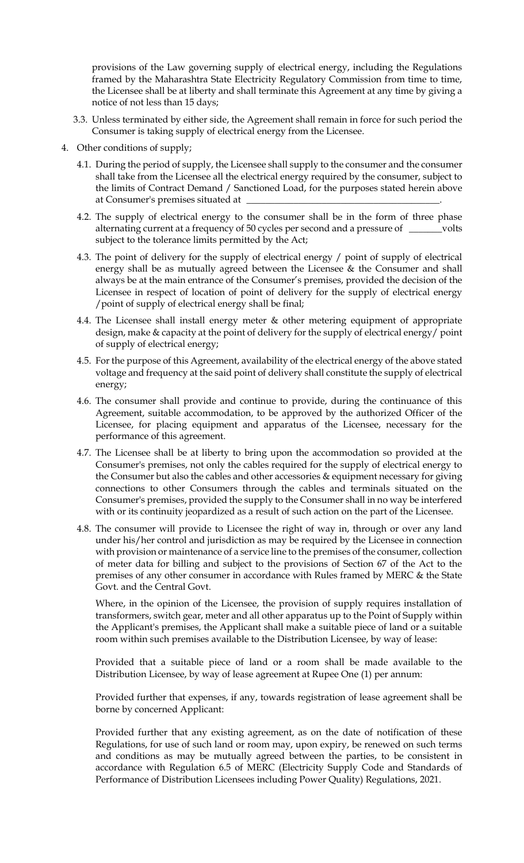provisions of the Law governing supply of electrical energy, including the Regulations framed by the Maharashtra State Electricity Regulatory Commission from time to time, the Licensee shall be at liberty and shall terminate this Agreement at any time by giving a notice of not less than 15 days;

- 3.3. Unless terminated by either side, the Agreement shall remain in force for such period the Consumer is taking supply of electrical energy from the Licensee.
- 4. Other conditions of supply;
	- 4.1. During the period of supply, the Licensee shall supply to the consumer and the consumer shall take from the Licensee all the electrical energy required by the consumer, subject to the limits of Contract Demand / Sanctioned Load, for the purposes stated herein above at Consumer's premises situated at
	- 4.2. The supply of electrical energy to the consumer shall be in the form of three phase alternating current at a frequency of 50 cycles per second and a pressure of \_\_\_\_\_\_\_volts subject to the tolerance limits permitted by the Act;
	- 4.3. The point of delivery for the supply of electrical energy / point of supply of electrical energy shall be as mutually agreed between the Licensee & the Consumer and shall always be at the main entrance of the Consumer's premises, provided the decision of the Licensee in respect of location of point of delivery for the supply of electrical energy /point of supply of electrical energy shall be final;
	- 4.4. The Licensee shall install energy meter & other metering equipment of appropriate design, make & capacity at the point of delivery for the supply of electrical energy/ point of supply of electrical energy;
	- 4.5. For the purpose of this Agreement, availability of the electrical energy of the above stated voltage and frequency at the said point of delivery shall constitute the supply of electrical energy;
	- 4.6. The consumer shall provide and continue to provide, during the continuance of this Agreement, suitable accommodation, to be approved by the authorized Officer of the Licensee, for placing equipment and apparatus of the Licensee, necessary for the performance of this agreement.
	- 4.7. The Licensee shall be at liberty to bring upon the accommodation so provided at the Consumer's premises, not only the cables required for the supply of electrical energy to the Consumer but also the cables and other accessories & equipment necessary for giving connections to other Consumers through the cables and terminals situated on the Consumer's premises, provided the supply to the Consumer shall in no way be interfered with or its continuity jeopardized as a result of such action on the part of the Licensee.
	- 4.8. The consumer will provide to Licensee the right of way in, through or over any land under his/her control and jurisdiction as may be required by the Licensee in connection with provision or maintenance of a service line to the premises of the consumer, collection of meter data for billing and subject to the provisions of Section 67 of the Act to the premises of any other consumer in accordance with Rules framed by MERC & the State Govt. and the Central Govt.

Where, in the opinion of the Licensee, the provision of supply requires installation of transformers, switch gear, meter and all other apparatus up to the Point of Supply within the Applicant's premises, the Applicant shall make a suitable piece of land or a suitable room within such premises available to the Distribution Licensee, by way of lease:

Provided that a suitable piece of land or a room shall be made available to the Distribution Licensee, by way of lease agreement at Rupee One (1) per annum:

Provided further that expenses, if any, towards registration of lease agreement shall be borne by concerned Applicant:

Provided further that any existing agreement, as on the date of notification of these Regulations, for use of such land or room may, upon expiry, be renewed on such terms and conditions as may be mutually agreed between the parties, to be consistent in accordance with Regulation 6.5 of MERC (Electricity Supply Code and Standards of Performance of Distribution Licensees including Power Quality) Regulations, 2021.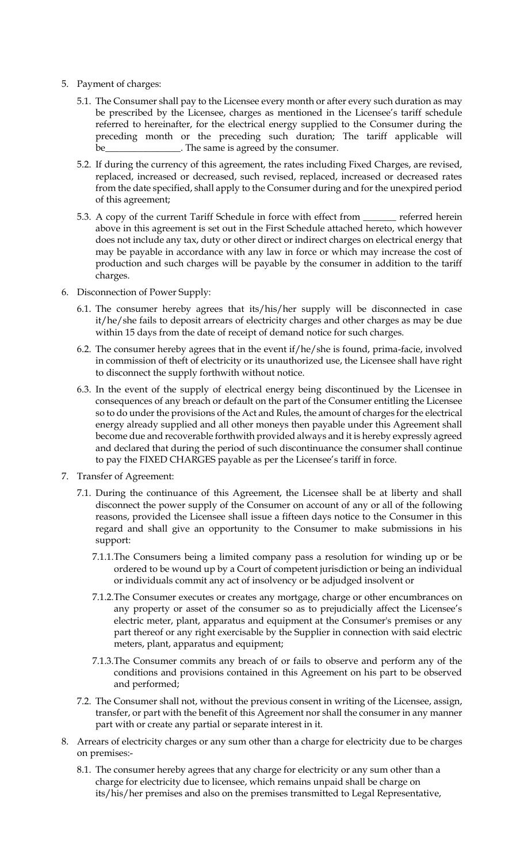- 5. Payment of charges:
	- 5.1. The Consumer shall pay to the Licensee every month or after every such duration as may be prescribed by the Licensee, charges as mentioned in the Licensee's tariff schedule referred to hereinafter, for the electrical energy supplied to the Consumer during the preceding month or the preceding such duration; The tariff applicable will . The same is agreed by the consumer.
	- 5.2. If during the currency of this agreement, the rates including Fixed Charges, are revised, replaced, increased or decreased, such revised, replaced, increased or decreased rates from the date specified, shall apply to the Consumer during and for the unexpired period of this agreement;
	- 5.3. A copy of the current Tariff Schedule in force with effect from \_\_\_\_\_\_\_ referred herein above in this agreement is set out in the First Schedule attached hereto, which however does not include any tax, duty or other direct or indirect charges on electrical energy that may be payable in accordance with any law in force or which may increase the cost of production and such charges will be payable by the consumer in addition to the tariff charges.
- 6. Disconnection of Power Supply:
	- 6.1. The consumer hereby agrees that its/his/her supply will be disconnected in case it/he/she fails to deposit arrears of electricity charges and other charges as may be due within 15 days from the date of receipt of demand notice for such charges.
	- 6.2. The consumer hereby agrees that in the event if/he/she is found, prima-facie, involved in commission of theft of electricity or its unauthorized use, the Licensee shall have right to disconnect the supply forthwith without notice.
	- 6.3. In the event of the supply of electrical energy being discontinued by the Licensee in consequences of any breach or default on the part of the Consumer entitling the Licensee so to do under the provisions of the Act and Rules, the amount of charges for the electrical energy already supplied and all other moneys then payable under this Agreement shall become due and recoverable forthwith provided always and it is hereby expressly agreed and declared that during the period of such discontinuance the consumer shall continue to pay the FIXED CHARGES payable as per the Licensee's tariff in force.
- 7. Transfer of Agreement:
	- 7.1. During the continuance of this Agreement, the Licensee shall be at liberty and shall disconnect the power supply of the Consumer on account of any or all of the following reasons, provided the Licensee shall issue a fifteen days notice to the Consumer in this regard and shall give an opportunity to the Consumer to make submissions in his support:
		- 7.1.1.The Consumers being a limited company pass a resolution for winding up or be ordered to be wound up by a Court of competent jurisdiction or being an individual or individuals commit any act of insolvency or be adjudged insolvent or
		- 7.1.2.The Consumer executes or creates any mortgage, charge or other encumbrances on any property or asset of the consumer so as to prejudicially affect the Licensee's electric meter, plant, apparatus and equipment at the Consumer's premises or any part thereof or any right exercisable by the Supplier in connection with said electric meters, plant, apparatus and equipment;
		- 7.1.3.The Consumer commits any breach of or fails to observe and perform any of the conditions and provisions contained in this Agreement on his part to be observed and performed;
	- 7.2. The Consumer shall not, without the previous consent in writing of the Licensee, assign, transfer, or part with the benefit of this Agreement nor shall the consumer in any manner part with or create any partial or separate interest in it.
- 8. Arrears of electricity charges or any sum other than a charge for electricity due to be charges on premises:-
	- 8.1. The consumer hereby agrees that any charge for electricity or any sum other than a charge for electricity due to licensee, which remains unpaid shall be charge on its/his/her premises and also on the premises transmitted to Legal Representative,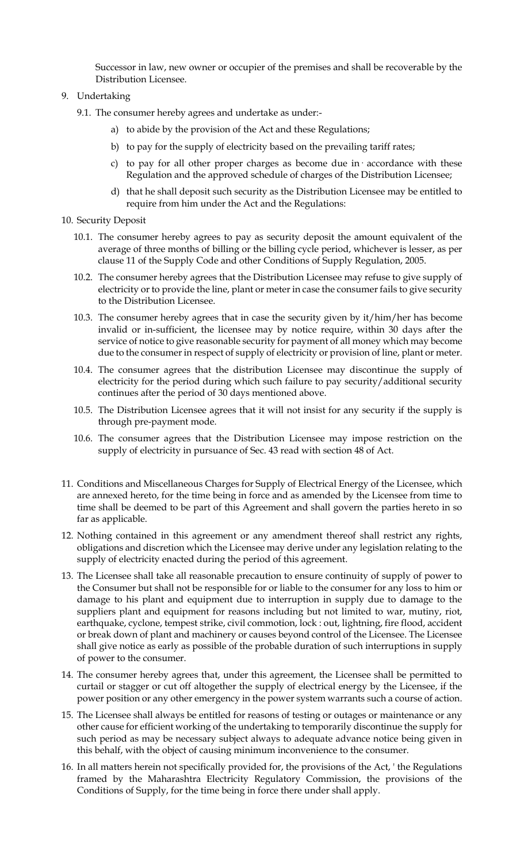Successor in law, new owner or occupier of the premises and shall be recoverable by the Distribution Licensee.

## 9. Undertaking

- 9.1. The consumer hereby agrees and undertake as under:
	- a) to abide by the provision of the Act and these Regulations;
	- b) to pay for the supply of electricity based on the prevailing tariff rates;
	- c) to pay for all other proper charges as become due in· accordance with these Regulation and the approved schedule of charges of the Distribution Licensee;
	- d) that he shall deposit such security as the Distribution Licensee may be entitled to require from him under the Act and the Regulations:
- 10. Security Deposit
	- 10.1. The consumer hereby agrees to pay as security deposit the amount equivalent of the average of three months of billing or the billing cycle period, whichever is lesser, as per clause 11 of the Supply Code and other Conditions of Supply Regulation, 2005.
	- 10.2. The consumer hereby agrees that the Distribution Licensee may refuse to give supply of electricity or to provide the line, plant or meter in case the consumer fails to give security to the Distribution Licensee.
	- 10.3. The consumer hereby agrees that in case the security given by it/him/her has become invalid or in-sufficient, the licensee may by notice require, within 30 days after the service of notice to give reasonable security for payment of all money which may become due to the consumer in respect of supply of electricity or provision of line, plant or meter.
	- 10.4. The consumer agrees that the distribution Licensee may discontinue the supply of electricity for the period during which such failure to pay security/additional security continues after the period of 30 days mentioned above.
	- 10.5. The Distribution Licensee agrees that it will not insist for any security if the supply is through pre-payment mode.
	- 10.6. The consumer agrees that the Distribution Licensee may impose restriction on the supply of electricity in pursuance of Sec. 43 read with section 48 of Act.
- 11. Conditions and Miscellaneous Charges for Supply of Electrical Energy of the Licensee, which are annexed hereto, for the time being in force and as amended by the Licensee from time to time shall be deemed to be part of this Agreement and shall govern the parties hereto in so far as applicable.
- 12. Nothing contained in this agreement or any amendment thereof shall restrict any rights, obligations and discretion which the Licensee may derive under any legislation relating to the supply of electricity enacted during the period of this agreement.
- 13. The Licensee shall take all reasonable precaution to ensure continuity of supply of power to the Consumer but shall not be responsible for or liable to the consumer for any loss to him or damage to his plant and equipment due to interruption in supply due to damage to the suppliers plant and equipment for reasons including but not limited to war, mutiny, riot, earthquake, cyclone, tempest strike, civil commotion, lock : out, lightning, fire flood, accident or break down of plant and machinery or causes beyond control of the Licensee. The Licensee shall give notice as early as possible of the probable duration of such interruptions in supply of power to the consumer.
- 14. The consumer hereby agrees that, under this agreement, the Licensee shall be permitted to curtail or stagger or cut off altogether the supply of electrical energy by the Licensee, if the power position or any other emergency in the power system warrants such a course of action.
- 15. The Licensee shall always be entitled for reasons of testing or outages or maintenance or any other cause for efficient working of the undertaking to temporarily discontinue the supply for such period as may be necessary subject always to adequate advance notice being given in this behalf, with the object of causing minimum inconvenience to the consumer.
- 16. In all matters herein not specifically provided for, the provisions of the Act, ' the Regulations framed by the Maharashtra Electricity Regulatory Commission, the provisions of the Conditions of Supply, for the time being in force there under shall apply.